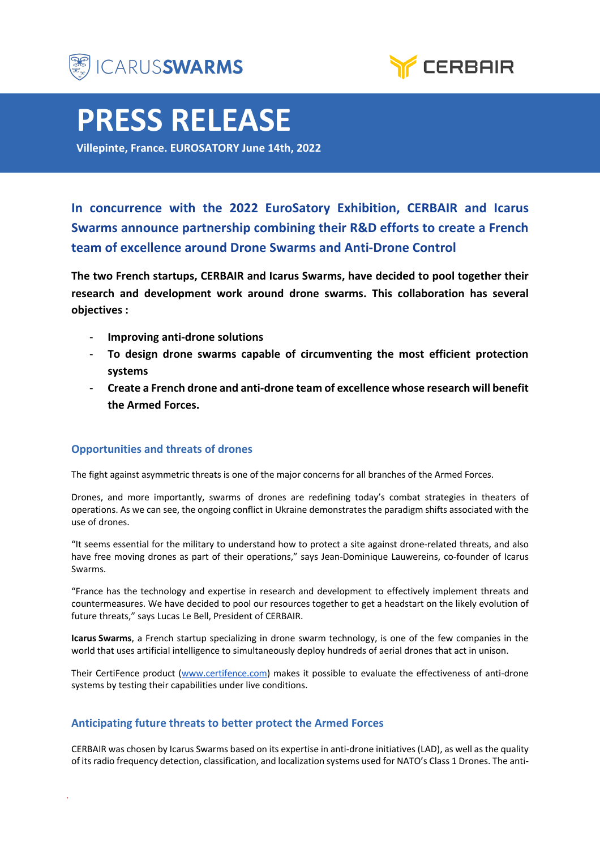



# **PRESS RELEASE**

**Villepinte, France. EUROSATORY June 14th, 2022**

**In concurrence with the 2022 EuroSatory Exhibition, CERBAIR and Icarus Swarms announce partnership combining their R&D efforts to create a French team of excellence around Drone Swarms and Anti-Drone Control**

**The two French startups, CERBAIR and Icarus Swarms, have decided to pool together their research and development work around drone swarms. This collaboration has several objectives :**

- **Improving anti-drone solutions**
- **To design drone swarms capable of circumventing the most efficient protection systems**
- **Create a French drone and anti-drone team of excellence whose research will benefit the Armed Forces.**

### **Opportunities and threats of drones**

The fight against asymmetric threats is one of the major concerns for all branches of the Armed Forces.

Drones, and more importantly, swarms of drones are redefining today's combat strategies in theaters of operations. As we can see, the ongoing conflict in Ukraine demonstrates the paradigm shifts associated with the use of drones.

"It seems essential for the military to understand how to protect a site against drone-related threats, and also have free moving drones as part of their operations," says Jean-Dominique Lauwereins, co-founder of Icarus Swarms.

"France has the technology and expertise in research and development to effectively implement threats and countermeasures. We have decided to pool our resources together to get a headstart on the likely evolution of future threats," says Lucas Le Bell, President of CERBAIR.

**Icarus Swarms**, a French startup specializing in drone swarm technology, is one of the few companies in the world that uses artificial intelligence to simultaneously deploy hundreds of aerial drones that act in unison.

Their CertiFence product (www.certifence.com) makes it possible to evaluate the effectiveness of anti-drone systems by testing their capabilities under live conditions.

## **Anticipating future threats to better protect the Armed Forces**

CERBAIR was chosen by Icarus Swarms based on its expertise in anti-drone initiatives (LAD), as well as the quality of its radio frequency detection, classification, and localization systems used for NATO's Class 1 Drones. The anti-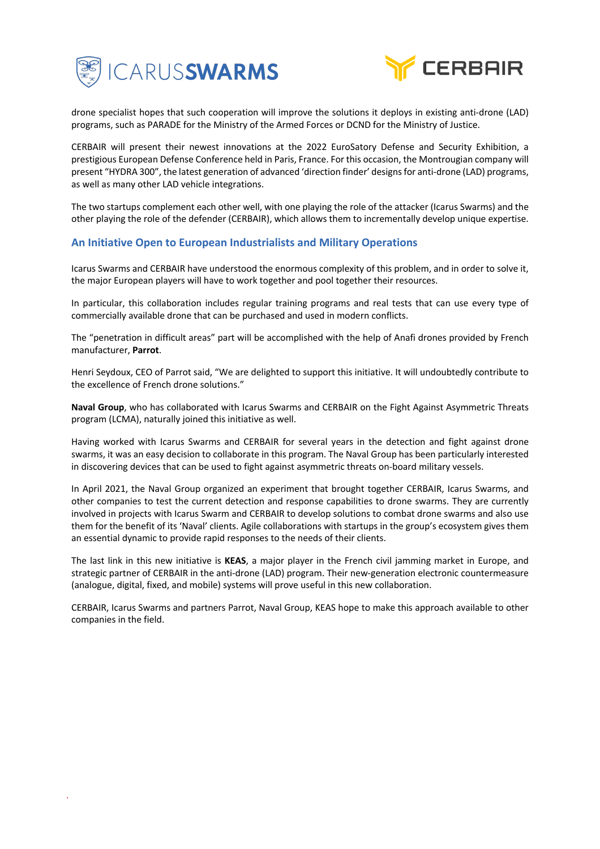



drone specialist hopes that such cooperation will improve the solutions it deploys in existing anti-drone (LAD) programs, such as PARADE for the Ministry of the Armed Forces or DCND for the Ministry of Justice.

CERBAIR will present their newest innovations at the 2022 EuroSatory Defense and Security Exhibition, a prestigious European Defense Conference held in Paris, France. For this occasion, the Montrougian company will present "HYDRA 300", the latest generation of advanced 'direction finder' designs for anti-drone (LAD) programs, as well as many other LAD vehicle integrations.

The two startups complement each other well, with one playing the role of the attacker (Icarus Swarms) and the other playing the role of the defender (CERBAIR), which allows them to incrementally develop unique expertise.

### **An Initiative Open to European Industrialists and Military Operations**

Icarus Swarms and CERBAIR have understood the enormous complexity of this problem, and in order to solve it, the major European players will have to work together and pool together their resources.

In particular, this collaboration includes regular training programs and real tests that can use every type of commercially available drone that can be purchased and used in modern conflicts.

The "penetration in difficult areas" part will be accomplished with the help of Anafi drones provided by French manufacturer, **Parrot**.

Henri Seydoux, CEO of Parrot said, "We are delighted to support this initiative. It will undoubtedly contribute to the excellence of French drone solutions."

**Naval Group**, who has collaborated with Icarus Swarms and CERBAIR on the Fight Against Asymmetric Threats program (LCMA), naturally joined this initiative as well.

Having worked with Icarus Swarms and CERBAIR for several years in the detection and fight against drone swarms, it was an easy decision to collaborate in this program. The Naval Group has been particularly interested in discovering devices that can be used to fight against asymmetric threats on-board military vessels.

In April 2021, the Naval Group organized an experiment that brought together CERBAIR, Icarus Swarms, and other companies to test the current detection and response capabilities to drone swarms. They are currently involved in projects with Icarus Swarm and CERBAIR to develop solutions to combat drone swarms and also use them for the benefit of its 'Naval' clients. Agile collaborations with startups in the group's ecosystem gives them an essential dynamic to provide rapid responses to the needs of their clients.

The last link in this new initiative is **KEAS**, a major player in the French civil jamming market in Europe, and strategic partner of CERBAIR in the anti-drone (LAD) program. Their new-generation electronic countermeasure (analogue, digital, fixed, and mobile) systems will prove useful in this new collaboration.

CERBAIR, Icarus Swarms and partners Parrot, Naval Group, KEAS hope to make this approach available to other companies in the field.